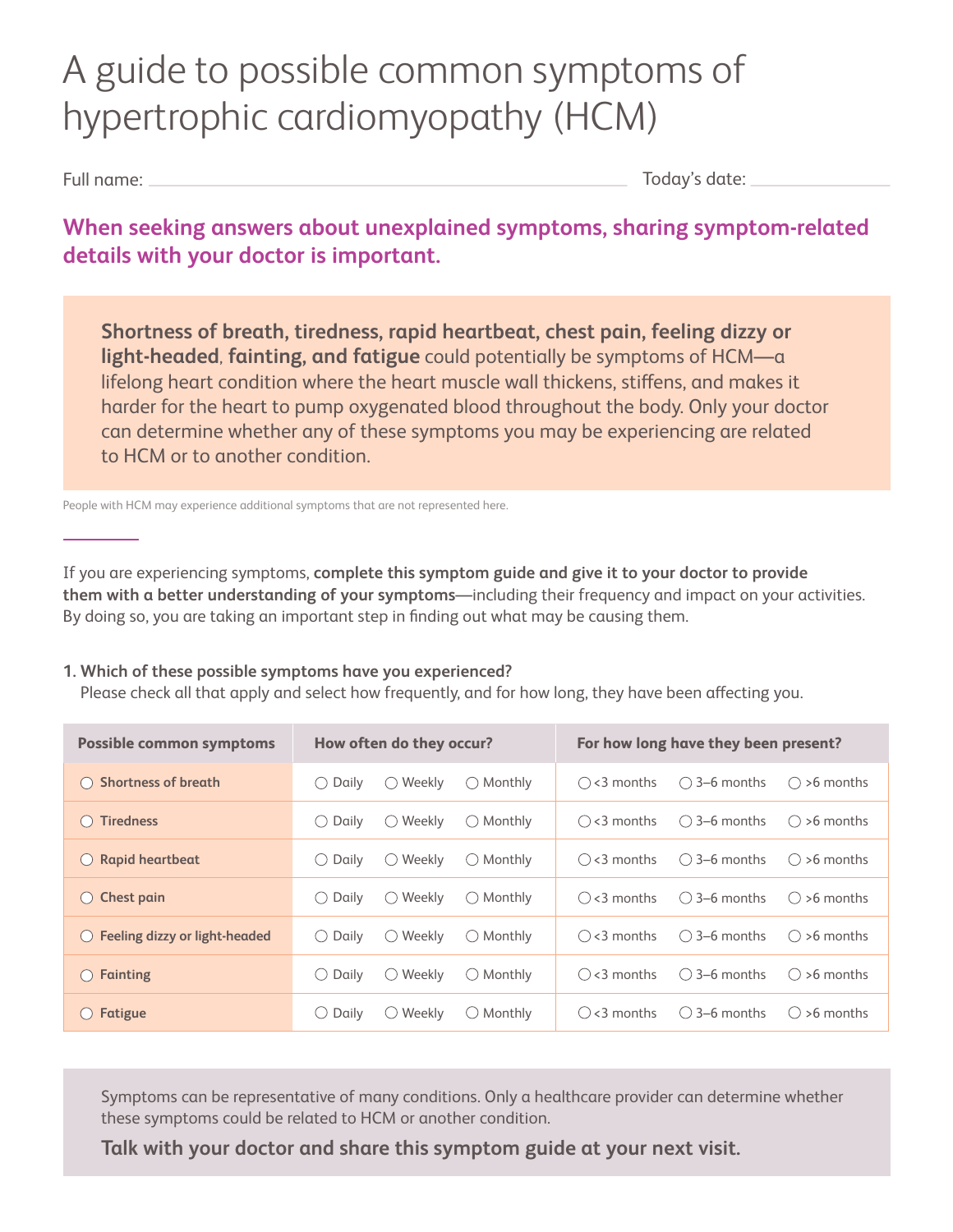## A guide to possible common symptoms of hypertrophic cardiomyopathy (HCM)

Full name:

Today's date:

**When seeking answers about unexplained symptoms, sharing symptom-related details with your doctor is important.**

**Shortness of breath, tiredness, rapid heartbeat, chest pain, feeling dizzy or light-headed, fainting, and fatigue** could potentially be symptoms of HCM—a lifelong heart condition where the heart muscle wall thickens, stiffens, and makes it harder for the heart to pump oxygenated blood throughout the body. Only your doctor can determine whether any of these symptoms you may be experiencing are related to HCM or to another condition.

People with HCM may experience additional symptoms that are not represented here.

If you are experiencing symptoms, **complete this symptom guide and give it to your doctor to provide them with a better understanding of your symptoms**—including their frequency and impact on your activities. By doing so, you are taking an important step in finding out what may be causing them.

## **1. Which of these possible symptoms have you experienced?**

Please check all that apply and select how frequently, and for how long, they have been affecting you.

| <b>Possible common symptoms</b>                         | How often do they occur?                            | For how long have they been present?                                    |  |  |
|---------------------------------------------------------|-----------------------------------------------------|-------------------------------------------------------------------------|--|--|
| <b>Shortness of breath</b><br>(                         | Weekly<br>$\bigcirc$ Monthly<br>Daily<br>( )<br>( ) | $\bigcirc$ 3–6 months<br>$\bigcirc$ <3 months<br>$\bigcirc$ >6 months   |  |  |
| <b>Tiredness</b><br>(                                   | Weekly<br>$\bigcirc$ Monthly<br>Daily<br>( )<br>( ) | $\bigcirc$ 3–6 months<br>$( )3$ months<br>$( )$ >6 months               |  |  |
| <b>Rapid heartbeat</b><br>$($ )                         | Weekly<br>$\bigcirc$ Monthly<br>Daily<br>( )<br>()  | $\bigcirc$ 3–6 months<br>$\bigcirc$ >6 months<br>$\bigcirc$ <3 months   |  |  |
| Chest pain<br>$($ )                                     | Weekly<br>$\bigcirc$ Monthly<br>Daily<br>()<br>()   | $\bigcap$ 3–6 months<br>$\left( \right)$ < 3 months<br>$()$ >6 months   |  |  |
| Feeling dizzy or light-headed<br>$\left( \quad \right)$ | Weekly<br>$\bigcirc$ Monthly<br>() Daily<br>( )     | $\bigcirc$ 3–6 months<br>$( )3$ months<br>$( )$ >6 months               |  |  |
| Fainting<br>( )                                         | Weekly<br>$\bigcirc$ Monthly<br>Daily<br>()<br>( )  | $\bigcirc$ 3–6 months<br>$\bigcirc$ <3 months<br>$()$ >6 months         |  |  |
| Fatigue<br>(                                            | Weekly<br>$\bigcirc$ Monthly<br>Daily<br>()         | $\bigcirc$ 3–6 months<br>$\left( \right)$ < 3 months<br>$( )$ >6 months |  |  |

Symptoms can be representative of many conditions. Only a healthcare provider can determine whether these symptoms could be related to HCM or another condition.

**Talk with your doctor and share this symptom guide at your next visit.**